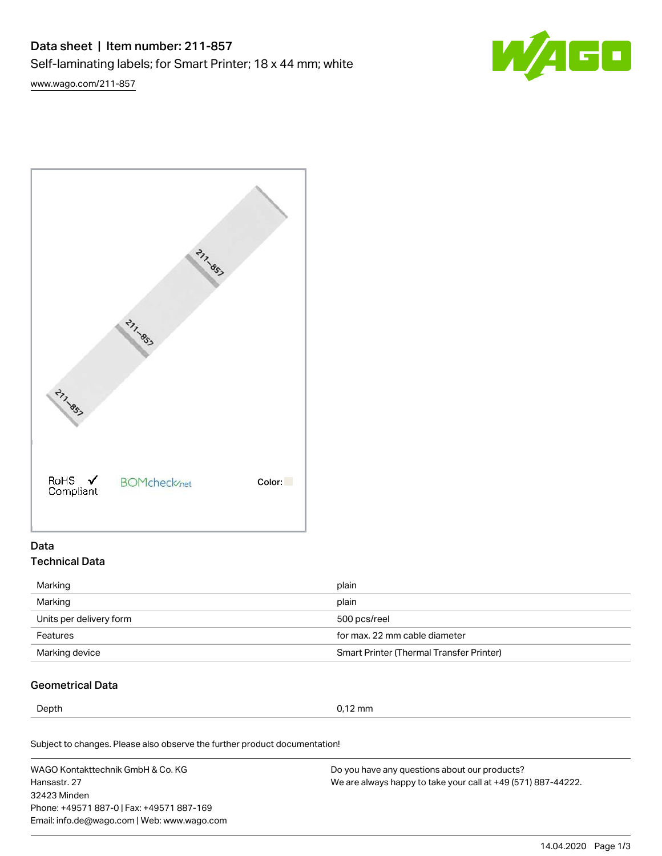# Data sheet | Item number: 211-857 Self-laminating labels; for Smart Printer; 18 x 44 mm; white

[www.wago.com/211-857](http://www.wago.com/211-857)





## Data Technical Data

| Marking                 | plain                                    |
|-------------------------|------------------------------------------|
| Marking                 | plain                                    |
| Units per delivery form | 500 pcs/reel                             |
| Features                | for max, 22 mm cable diameter            |
| Marking device          | Smart Printer (Thermal Transfer Printer) |

## Geometrical Data

Depth 0,12 mm

Subject to changes. Please also observe the further product documentation!

WAGO Kontakttechnik GmbH & Co. KG Hansastr. 27 32423 Minden Phone: +49571 887-0 | Fax: +49571 887-169 Email: info.de@wago.com | Web: www.wago.com Do you have any questions about our products? We are always happy to take your call at +49 (571) 887-44222.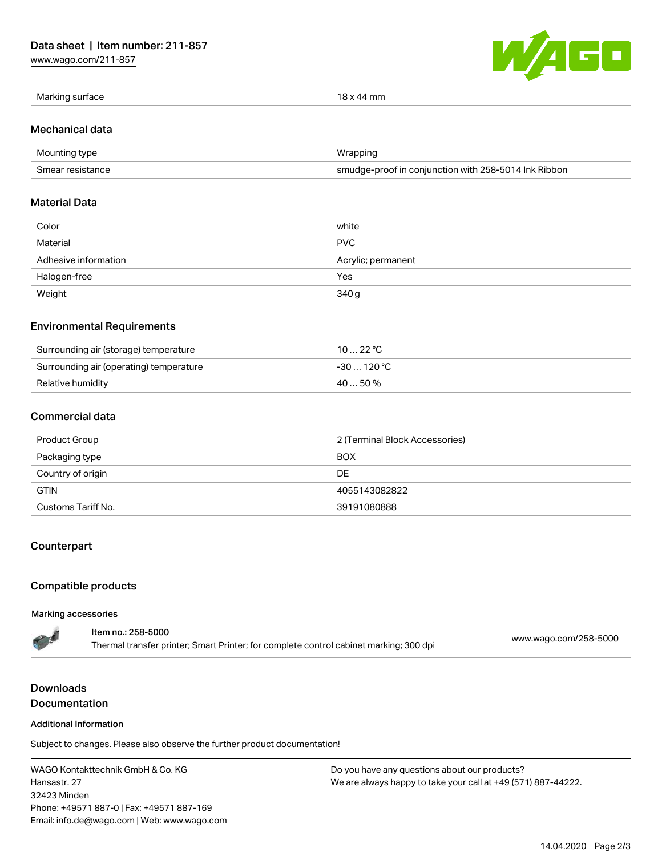[www.wago.com/211-857](http://www.wago.com/211-857)



| Marking surface | 18 x 44 mm |
|-----------------|------------|
|                 |            |

#### Mechanical data

| Mounting type    | Wrapping                                             |
|------------------|------------------------------------------------------|
| Smear resistance | smudge-proof in conjunction with 258-5014 Ink Ribbon |

## Material Data

| Color                | white              |
|----------------------|--------------------|
| Material             | <b>PVC</b>         |
| Adhesive information | Acrylic; permanent |
| Halogen-free         | Yes                |
| Weight               | 340 g              |

## Environmental Requirements

| Surrounding air (storage) temperature   | 10 … 22 °C  |
|-----------------------------------------|-------------|
| Surrounding air (operating) temperature | -30  120 °C |
| Relative humidity                       | 40  50 %    |

## Commercial data

| Product Group      | 2 (Terminal Block Accessories) |
|--------------------|--------------------------------|
| Packaging type     | <b>BOX</b>                     |
| Country of origin  | DE                             |
| <b>GTIN</b>        | 4055143082822                  |
| Customs Tariff No. | 39191080888                    |

## **Counterpart**

## Compatible products

#### Marking accessories

# **Downloads Documentation**

#### Additional Information

Subject to changes. Please also observe the further product documentation!

WAGO Kontakttechnik GmbH & Co. KG Hansastr. 27 32423 Minden Phone: +49571 887-0 | Fax: +49571 887-169 Email: info.de@wago.com | Web: www.wago.com

Do you have any questions about our products? We are always happy to take your call at +49 (571) 887-44222.